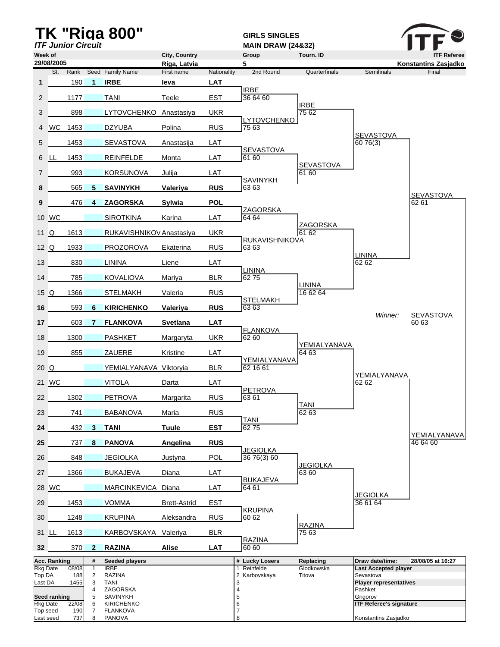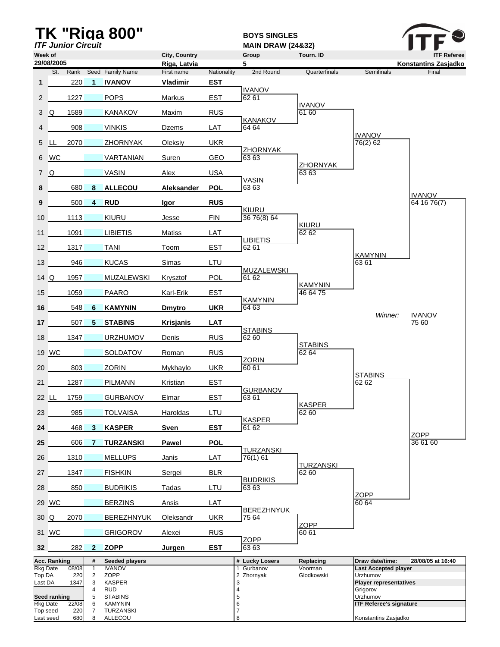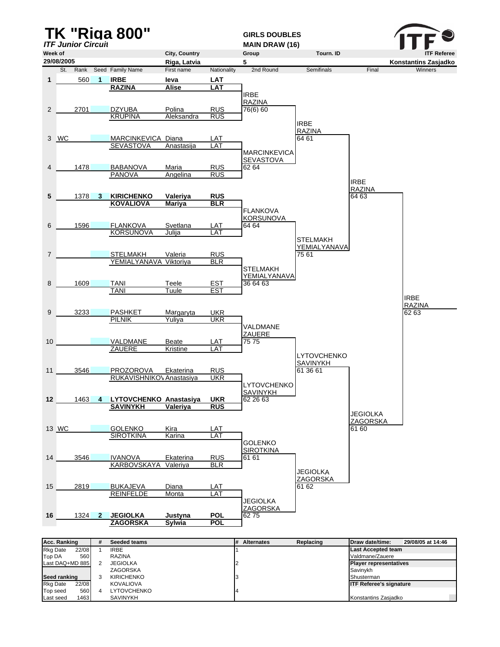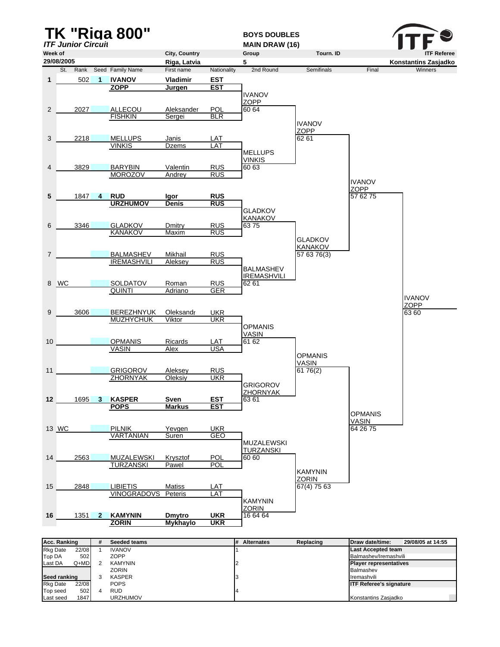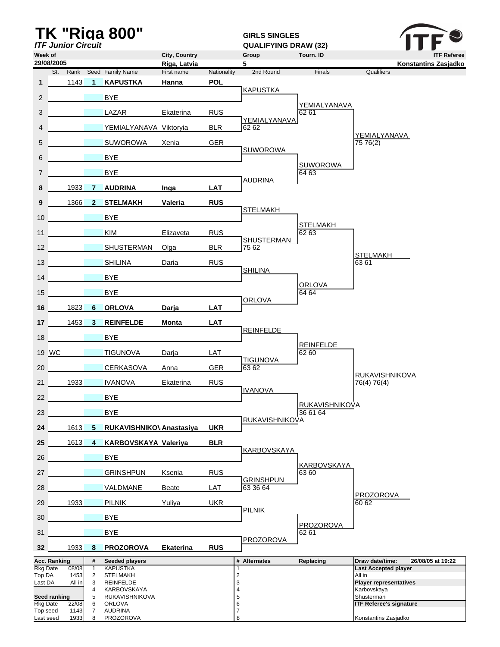|                             |                           |               |                     | <b>TK "Riga 800"</b>              |                               |             | <b>GIRLS SINGLES</b>        |                           |                                                                     |
|-----------------------------|---------------------------|---------------|---------------------|-----------------------------------|-------------------------------|-------------|-----------------------------|---------------------------|---------------------------------------------------------------------|
|                             | <b>ITF Junior Circuit</b> |               |                     |                                   |                               |             | <b>QUALIFYING DRAW (32)</b> |                           |                                                                     |
| Week of                     | 29/08/2005                |               |                     |                                   | City, Country<br>Riga, Latvia |             | Group<br>5                  | Tourn. ID                 | <b>ITF Referee</b><br>Konstantins Zasjadko                          |
|                             | St.                       |               |                     | Rank Seed Family Name             | First name                    | Nationality | 2nd Round                   | Finals                    | Qualifiers                                                          |
| $\mathbf{1}$                |                           | 1143          | $\blacksquare$      | <b>KAPUSTKA</b>                   | Hanna                         | <b>POL</b>  |                             |                           |                                                                     |
| $\overline{2}$              |                           |               |                     | <b>BYE</b>                        |                               |             | <b>KAPUSTKA</b>             |                           |                                                                     |
| 3                           |                           |               |                     | LAZAR                             | Ekaterina                     | <b>RUS</b>  |                             | YEMIALYANAVA<br>62 61     |                                                                     |
| 4                           |                           |               |                     | YEMIALYANAVA Viktoryia            |                               | <b>BLR</b>  | YEMIALYANAVA<br>6262        |                           |                                                                     |
| 5                           |                           |               |                     | <b>SUWOROWA</b>                   | Xenia                         | <b>GER</b>  |                             |                           | YEMIALYANAVA<br>75 76(2)                                            |
| 6                           |                           |               |                     | <b>BYE</b>                        |                               |             | <b>SUWOROWA</b>             |                           |                                                                     |
| $\overline{7}$              |                           |               |                     | <b>BYE</b>                        |                               |             |                             | <b>SUWOROWA</b><br>64 63  |                                                                     |
| 8                           |                           | 1933          | <b>7</b>            | <b>AUDRINA</b>                    | Inga                          | <b>LAT</b>  | <b>AUDRINA</b>              |                           |                                                                     |
| 9                           |                           | 1366          | $\mathbf{2}$        | <b>STELMAKH</b>                   | Valeria                       | <b>RUS</b>  |                             |                           |                                                                     |
| 10                          |                           |               |                     | BYE                               |                               |             | <b>STELMAKH</b>             |                           |                                                                     |
| 11                          |                           |               |                     | <b>KIM</b>                        | Elizaveta                     | <b>RUS</b>  |                             | <b>STELMAKH</b><br>62 63  |                                                                     |
| 12                          |                           |               |                     | SHUSTERMAN                        | Olga                          | <b>BLR</b>  | <b>SHUSTERMAN</b><br>75 62  |                           |                                                                     |
| 13 <sup>1</sup>             |                           |               |                     | <b>SHILINA</b>                    | Daria                         | <b>RUS</b>  |                             |                           | <b>STELMAKH</b><br>6361                                             |
|                             | 14                        |               |                     | <b>BYE</b>                        |                               |             | <b>SHILINA</b>              |                           |                                                                     |
| 15 <sup>15</sup>            |                           |               |                     | <b>BYE</b>                        |                               |             |                             | <b>ORLOVA</b><br>64 64    |                                                                     |
| 16                          |                           | 1823          | 6                   | <b>ORLOVA</b>                     | Darja                         | <b>LAT</b>  | <b>ORLOVA</b>               |                           |                                                                     |
| 17 <sup>1</sup>             |                           | $1453$ 3      |                     | <b>REINFELDE</b>                  | Monta                         | <b>LAT</b>  |                             |                           |                                                                     |
| 18                          |                           |               |                     | <b>BYE</b>                        |                               |             | <b>REINFELDE</b>            |                           |                                                                     |
| 19 WC                       |                           |               |                     | <b>TIGUNOVA</b>                   | Darja                         | LAT         | <b>TIGUNOVA</b>             | <b>REINFELDE</b><br>62 60 |                                                                     |
| 20                          |                           |               |                     | <b>CERKASOVA</b>                  | Anna                          | <b>GER</b>  | 6362                        |                           | <b>RUKAVISHNIKOVA</b>                                               |
| 21                          |                           | 1933          |                     | <b>IVANOVA</b>                    | Ekaterina                     | <b>RUS</b>  | <b>IVANOVA</b>              |                           | 76(4) 76(4)                                                         |
| 22                          |                           |               |                     | <b>BYE</b>                        |                               |             |                             | <b>RUKAVISHNIKOVA</b>     |                                                                     |
| 23                          |                           |               |                     | <b>BYE</b>                        |                               |             | <b>RUKAVISHNIKOVA</b>       | 36 61 64                  |                                                                     |
| 24                          |                           | $1613$ 5      |                     | RUKAVISHNIKO\ Anastasiya          |                               | <b>UKR</b>  |                             |                           |                                                                     |
| 25                          |                           | 1613          | 4                   | <b>KARBOVSKAYA Valeriya</b>       |                               | <b>BLR</b>  | KARBOVSKAYA                 |                           |                                                                     |
| 26                          |                           |               |                     | <b>BYE</b>                        |                               |             |                             | KARBOVSKAYA               |                                                                     |
| 27                          |                           |               |                     | <b>GRINSHPUN</b>                  | Ksenia                        | <b>RUS</b>  | <b>GRINSHPUN</b>            | 63 60                     |                                                                     |
| 28                          |                           |               |                     | VALDMANE                          | Beate                         | <b>LAT</b>  | 63 36 64                    |                           | <b>PROZOROVA</b>                                                    |
| 29                          |                           | 1933          |                     | <b>PILNIK</b>                     | Yuliya                        | <b>UKR</b>  | <b>PILNIK</b>               |                           | 60 62                                                               |
| 30                          |                           |               |                     | <b>BYE</b>                        |                               |             |                             | <b>PROZOROVA</b>          |                                                                     |
| 31                          |                           |               |                     | <b>BYE</b>                        |                               |             | <b>PROZOROVA</b>            | 62 61                     |                                                                     |
| 32 <sup>2</sup>             |                           | 1933 8        |                     | <b>PROZOROVA</b>                  | <b>Ekaterina</b>              | <b>RUS</b>  |                             |                           |                                                                     |
| <b>Rkg Date</b>             | Acc. Ranking              | 08/08         | #<br>$\mathbf{1}$   | Seeded players<br><b>KAPUSTKA</b> |                               |             | # Alternates<br>1           | Replacing                 | Draw date/time:<br>26/08/05 at 19:22<br><b>Last Accepted player</b> |
| Top DA                      |                           | 1453          | $\overline{2}$      | <b>STELMAKH</b>                   |                               |             | $\overline{\mathbf{c}}$     |                           | All in                                                              |
| Last DA                     |                           | All in        | 3<br>4              | REINFELDE<br>KARBOVSKAYA          |                               |             | 3<br>$\overline{4}$         |                           | <b>Player representatives</b><br>Karbovskaya                        |
|                             | Seed ranking              |               | 5                   | RUKAVISHNIKOVA                    |                               |             | 5                           |                           | Shusterman                                                          |
| <b>Rkg Date</b><br>Top seed |                           | 22/08<br>1143 | 6<br>$\overline{7}$ | <b>ORLOVA</b><br><b>AUDRINA</b>   |                               |             | 6<br>$\overline{7}$         |                           | <b>ITF Referee's signature</b>                                      |
| Last seed                   |                           | 1933          | 8                   | PROZOROVA                         |                               |             | 8                           |                           | Konstantins Zasjadko                                                |